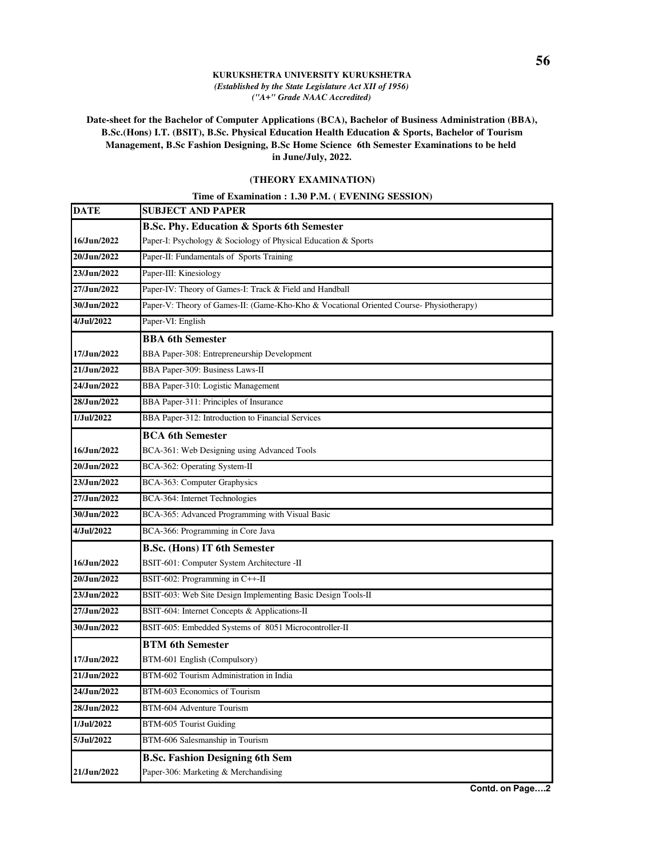## **KURUKSHETRA UNIVERSITY KURUKSHETRA** *(Established by the State Legislature Act XII of 1956) ("A+" Grade NAAC Accredited)*

 **Date-sheet for the Bachelor of Computer Applications (BCA), Bachelor of Business Administration (BBA), B.Sc.(Hons) I.T. (BSIT), B.Sc. Physical Education Health Education & Sports, Bachelor of Tourism Management, B.Sc Fashion Designing, B.Sc Home Science 6th Semester Examinations to be held in June/July, 2022.**

## **(THEORY EXAMINATION)**

## **Time of Examination : 1.30 P.M. ( EVENING SESSION)**

| DATE          | <b>SUBJECT AND PAPER</b>                                                                |
|---------------|-----------------------------------------------------------------------------------------|
|               | <b>B.Sc. Phy. Education &amp; Sports 6th Semester</b>                                   |
| 16/Jun/2022   | Paper-I: Psychology & Sociology of Physical Education & Sports                          |
| 20/Jun/2022   | Paper-II: Fundamentals of Sports Training                                               |
| 23/Jun/2022   | Paper-III: Kinesiology                                                                  |
| 27/Jun/2022   | Paper-IV: Theory of Games-I: Track & Field and Handball                                 |
| 30/Jun/2022   | Paper-V: Theory of Games-II: (Game-Kho-Kho & Vocational Oriented Course- Physiotherapy) |
| 4/Jul/2022    | Paper-VI: English                                                                       |
|               | <b>BBA 6th Semester</b>                                                                 |
| 17/Jun/2022   | BBA Paper-308: Entrepreneurship Development                                             |
| 21/Jun/2022   | BBA Paper-309: Business Laws-II                                                         |
| 24/Jun/2022   | BBA Paper-310: Logistic Management                                                      |
| 28/Jun/2022   | BBA Paper-311: Principles of Insurance                                                  |
| $1/J$ ul/2022 | BBA Paper-312: Introduction to Financial Services                                       |
|               | <b>BCA 6th Semester</b>                                                                 |
| 16/Jun/2022   | BCA-361: Web Designing using Advanced Tools                                             |
| 20/Jun/2022   | BCA-362: Operating System-II                                                            |
| 23/Jun/2022   | BCA-363: Computer Graphysics                                                            |
| 27/Jun/2022   | BCA-364: Internet Technologies                                                          |
| 30/Jun/2022   | BCA-365: Advanced Programming with Visual Basic                                         |
| 4/Jul/2022    | BCA-366: Programming in Core Java                                                       |
|               | <b>B.Sc. (Hons) IT 6th Semester</b>                                                     |
| 16/Jun/2022   | BSIT-601: Computer System Architecture -II                                              |
| 20/Jun/2022   | BSIT-602: Programming in C++-II                                                         |
| 23/Jun/2022   | BSIT-603: Web Site Design Implementing Basic Design Tools-II                            |
| 27/Jun/2022   | BSIT-604: Internet Concepts & Applications-II                                           |
| 30/Jun/2022   | BSIT-605: Embedded Systems of 8051 Microcontroller-II                                   |
|               | <b>BTM 6th Semester</b>                                                                 |
| 17/Jun/2022   | BTM-601 English (Compulsory)                                                            |
| 21/Jun/2022   | BTM-602 Tourism Administration in India                                                 |
| 24/Jun/2022   | BTM-603 Economics of Tourism                                                            |
| 28/Jun/2022   | BTM-604 Adventure Tourism                                                               |
| $1/J$ ul/2022 | BTM-605 Tourist Guiding                                                                 |
| 5/Jul/2022    | BTM-606 Salesmanship in Tourism                                                         |
|               | <b>B.Sc. Fashion Designing 6th Sem</b>                                                  |
| 21/Jun/2022   | Paper-306: Marketing & Merchandising                                                    |

**Contd. on Page….2**